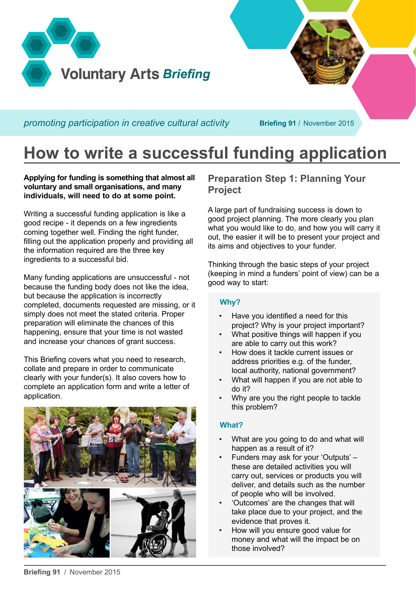

**How to write a successful funding application**

**Applying for funding is something that almost all voluntary and small organisations, and many individuals, will need to do at some point.**

Writing a successful funding application is like a good recipe - it depends on a few ingredients coming together well. Finding the right funder, filling out the application properly and providing all the information required are the three key ingredients to a successful bid.

Many funding applications are unsuccessful - not because the funding body does not like the idea, but because the application is incorrectly completed, documents requested are missing, or it simply does not meet the stated criteria. Proper preparation will eliminate the chances of this happening, ensure that your time is not wasted and increase your chances of grant success.

This Briefing covers what you need to research, collate and prepare in order to communicate clearly with your funder(s). It also covers how to complete an application form and write a letter of application.



# **Preparation Step 1: Planning Your Project**

A large part of fundraising success is down to good project planning. The more clearly you plan what you would like to do, and how you will carry it out, the easier it will be to present your project and its aims and objectives to your funder.

Thinking through the basic steps of your project (keeping in mind a funders' point of view) can be a good way to start:

# **Why?**

- Have you identified a need for this project? Why is your project important?
- What positive things will happen if you are able to carry out this work?
- How does it tackle current issues or address priorities e.g. of the funder, local authority, national government?
- What will happen if you are not able to do it?
- Why are you the right people to tackle this problem?

# **What?**

- What are you going to do and what will happen as a result of it?
- Funders may ask for your 'Outputs' these are detailed activities you will carry out, services or products you will deliver, and details such as the number of people who will be involved.
- 'Outcomes' are the changes that will take place due to your project, and the evidence that proves it.
- How will you ensure good value for money and what will the impact be on those involved?

**Briefing 91** / November 2015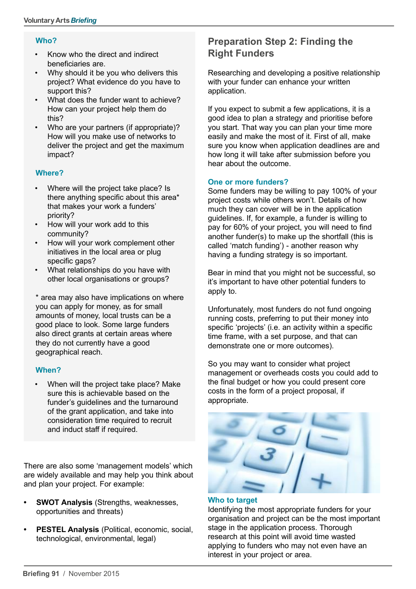## **Who?**

- Know who the direct and indirect beneficiaries are.
- Why should it be you who delivers this project? What evidence do you have to support this?
- What does the funder want to achieve? How can your project help them do this?
- Who are your partners (if appropriate)? How will you make use of networks to deliver the project and get the maximum impact?

## **Where?**

- Where will the project take place? Is there anything specific about this area\* that makes your work a funders' priority?
- • How will your work add to this community?
- How will your work complement other initiatives in the local area or plug specific gaps?
- What relationships do you have with other local organisations or groups?

\* area may also have implications on where you can apply for money, as for small amounts of money, local trusts can be a good place to look. Some large funders also direct grants at certain areas where they do not currently have a good geographical reach.

# **When?**

When will the project take place? Make sure this is achievable based on the funder's quidelines and the turnaround of the grant application, and take into consideration time required to recruit and induct staff if required.

There are also some 'management models' which are widely available and may help you think about and plan your project. For example:

- **SWOT Analysis** (Strengths, weaknesses, opportunities and threats)
- **• PESTEL Analysis** (Political, economic, social, technological, environmental, legal)

# **Preparation Step 2: Finding the Right Funders**

Researching and developing a positive relationship with your funder can enhance your written application.

If you expect to submit a few applications, it is a good idea to plan a strategy and prioritise before you start. That way you can plan your time more easily and make the most of it. First of all, make sure you know when application deadlines are and how long it will take after submission before you hear about the outcome.

## **One or more funders?**

Some funders may be willing to pay 100% of your project costs while others won't. Details of how much they can cover will be in the application guidelines. If, for example, a funder is willing to pay for 60% of your project, you will need to find another funder(s) to make up the shortfall (this is called 'match funding') - another reason why having a funding strategy is so important.

Bear in mind that you might not be successful, so it's important to have other potential funders to apply to.

Unfortunately, most funders do not fund ongoing running costs, preferring to put their money into specific 'projects' (i.e. an activity within a specific time frame, with a set purpose, and that can demonstrate one or more outcomes).

So you may want to consider what project management or overheads costs you could add to the final budget or how you could present core costs in the form of a project proposal, if appropriate.



## **Who to target**

Identifying the most appropriate funders for your organisation and project can be the most important stage in the application process. Thorough research at this point will avoid time wasted applying to funders who may not even have an interest in your project or area.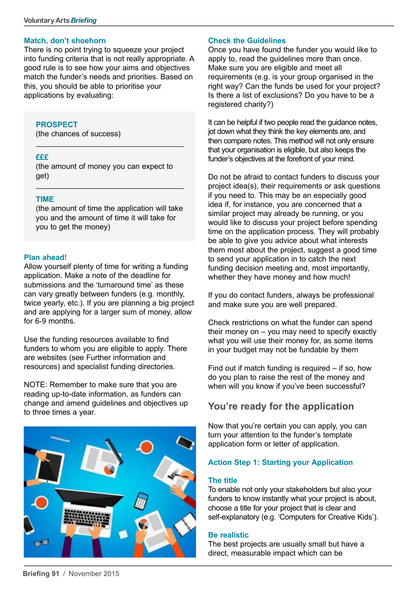#### **Match, don't shoehorn**

There is no point trying to squeeze your project into funding criteria that is not really appropriate. A good rule is to see how your aims and objectives match the funder's needs and priorities. Based on this, you should be able to prioritise your applications by evaluating:

#### **PROSPECT**

(the chances of success)

#### **£££**

(the amount of money you can expect to get)

\_\_\_\_\_\_\_\_\_\_\_\_\_\_\_\_\_\_\_\_\_\_\_\_\_\_\_\_\_\_\_\_\_\_\_

#### **TIME**

(the amount of time the application will take you and the amount of time it will take for you to get the money)

\_\_\_\_\_\_\_\_\_\_\_\_\_\_\_\_\_\_\_\_\_\_\_\_\_\_\_\_\_\_\_\_\_\_\_

#### **Plan ahead!**

Allow yourself plenty of time for writing a funding application. Make a note of the deadline for submissions and the 'turnaround time' as these can vary greatly between funders (e.g. monthly, twice yearly, etc.). If you are planning a big project and are applying for a larger sum of money, allow for 6-9 months.

Use the funding resources available to find funders to whom you are eligible to apply. There are websites (see Further information and resources) and specialist funding directories.

NOTE: Remember to make sure that you are reading up-to-date information, as funders can change and amend guidelines and objectives up to three times a year.

# **Check the Guidelines**

Once you have found the funder you would like to apply to, read the guidelines more than once. Make sure you are eligible and meet all requirements (e.g. is your group organised in the right way? Can the funds be used for your project? Is there a list of exclusions? Do you have to be a registered charity?)

It can be helpful if two people read the guidance notes, jot down what they think the key elements are, and then compare notes. This method will not only ensure that your organisation is eligible, but also keeps the funder's objectives at the forefront of your mind.

Do not be afraid to contact funders to discuss your project idea(s), their requirements or ask questions if you need to. This may be an especially good idea if, for instance, you are concerned that a similar project may already be running, or you would like to discuss your project before spending time on the application process. They will probably be able to give you advice about what interests them most about the project, suggest a good time to send your application in to catch the next funding decision meeting and, most importantly, whether they have money and how much!

If you do contact funders, always be professional and make sure you are well prepared.

Check restrictions on what the funder can spend their money on – you may need to specify exactly what you will use their money for, as some items in your budget may not be fundable by them

Find out if match funding is required  $-$  if so, how do you plan to raise the rest of the money and when will you know if you've been successful?

# **You're ready for the application**

Now that you're certain you can apply, you can turn your attention to the funder's template application form or letter of application.

## **Action Step 1: Starting your Application**

#### **The title**

To enable not only your stakeholders but also your funders to know instantly what your project is about, choose a title for your project that is clear and self-explanatory (e.g. 'Computers for Creative Kids').

#### **Be realistic**

The best projects are usually small but have a direct, measurable impact which can be



a C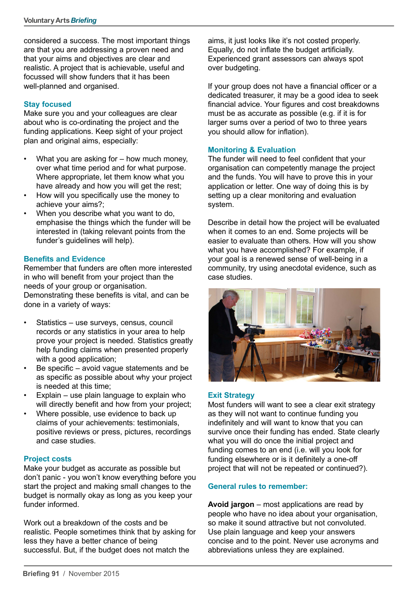considered a success. The most important things are that you are addressing a proven need and that your aims and objectives are clear and realistic. A project that is achievable, useful and focussed will show funders that it has been well-planned and organised.

## **Stay focused**

Make sure you and your colleagues are clear about who is co-ordinating the project and the funding applications. Keep sight of your project plan and original aims, especially:

- What you are asking for  $-$  how much money, over what time period and for what purpose. Where appropriate, let them know what you have already and how you will get the rest;
- How will you specifically use the money to achieve your aims?;
- When you describe what you want to do, emphasise the things which the funder will be interested in (taking relevant points from the funder's guidelines will help).

## **Benefits and Evidence**

Remember that funders are often more interested in who will benefit from your project than the needs of your group or organisation. Demonstrating these benefits is vital, and can be

done in a variety of ways:

- Statistics use surveys, census, council records or any statistics in your area to help prove your project is needed. Statistics greatly help funding claims when presented properly with a good application;
- Be specific  $-$  avoid vague statements and be as specific as possible about why your project is needed at this time;
- • Explain use plain language to explain who will directly benefit and how from your project:
- Where possible, use evidence to back up claims of your achievements: testimonials, positive reviews or press, pictures, recordings and case studies.

## **Project costs**

Make your budget as accurate as possible but don't panic - you won't know everything before you start the project and making small changes to the budget is normally okay as long as you keep your funder informed.

Work out a breakdown of the costs and be realistic. People sometimes think that by asking for less they have a better chance of being successful. But, if the budget does not match the

aims, it just looks like it's not costed properly. Equally, do not inflate the budget artificially. Experienced grant assessors can always spot over budgeting.

If your group does not have a financial officer or a dedicated treasurer, it may be a good idea to seek financial advice. Your figures and cost breakdowns must be as accurate as possible (e.g. if it is for larger sums over a period of two to three years you should allow for inflation).

## **Monitoring & Evaluation**

The funder will need to feel confident that your organisation can competently manage the project and the funds. You will have to prove this in your application or letter. One way of doing this is by setting up a clear monitoring and evaluation system.

Describe in detail how the project will be evaluated when it comes to an end. Some projects will be easier to evaluate than others. How will you show what you have accomplished? For example, if your goal is a renewed sense of well-being in a community, try using anecdotal evidence, such as case studies.



## **Exit Strategy**

Most funders will want to see a clear exit strategy as they will not want to continue funding you indefinitely and will want to know that you can survive once their funding has ended. State clearly what you will do once the initial project and funding comes to an end (i.e. will you look for funding elsewhere or is it definitely a one-off project that will not be repeated or continued?).

# **General rules to remember:**

**Avoid jargon** – most applications are read by people who have no idea about your organisation, so make it sound attractive but not convoluted. Use plain language and keep your answers concise and to the point. Never use acronyms and abbreviations unless they are explained.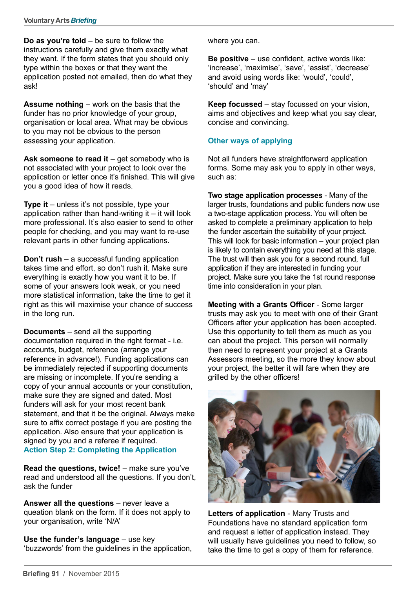**Do as you're told** – be sure to follow the instructions carefully and give them exactly what they want. If the form states that you should only type within the boxes or that they want the application posted not emailed, then do what they ask!

**Assume nothing** – work on the basis that the funder has no prior knowledge of your group. organisation or local area. What may be obvious to you may not be obvious to the person assessing your application.

Ask someone to read it – get somebody who is not associated with your project to look over the application or letter once it's finished. This will give you a good idea of how it reads.

**Type it** – unless it's not possible, type your application rather than hand-writing it  $-$  it will look more professional. It's also easier to send to other people for checking, and you may want to re-use relevant parts in other funding applications.

**Don't rush** – a successful funding application takes time and effort, so don't rush it. Make sure everything is exactly how you want it to be. If some of your answers look weak, or you need more statistical information, take the time to get it right as this will maximise your chance of success in the long run.

**Documents** – send all the supporting documentation required in the right format - i.e. accounts, budget, reference (arrange your reference in advance!). Funding applications can be immediately rejected if supporting documents are missing or incomplete. If you're sending a copy of your annual accounts or your constitution, make sure they are signed and dated. Most funders will ask for your most recent bank statement, and that it be the original. Always make sure to affix correct postage if you are posting the application. Also ensure that your application is signed by you and a referee if required. **Action Step 2: Completing the Application**

**Read the questions, twice!** – make sure you've read and understood all the questions. If you don't, ask the funder

**Answer all the questions** – never leave a queation blank on the form. If it does not apply to your organisation, write 'N/A'

**Use the funder's language** – use key 'buzzwords' from the guidelines in the application, where you can.

**Be positive** – use confident, active words like: 'increase', 'maximise', 'save', 'assist', 'decrease' and avoid using words like: 'would', 'could', 'should' and 'may'

**Keep focussed** – stay focussed on your vision, aims and objectives and keep what you say clear, concise and convincing.

## **Other ways of applying**

Not all funders have straightforward application forms. Some may ask you to apply in other ways, such as:

**Two stage application processes** - Many of the larger trusts, foundations and public funders now use a two-stage application process. You will often be asked to complete a preliminary application to help the funder ascertain the suitability of your project. This will look for basic information – your project plan is likely to contain everything you need at this stage. The trust will then ask you for a second round, full application if they are interested in funding your project. Make sure you take the 1st round response time into consideration in your plan.

**Meeting with a Grants Officer** - Some larger trusts may ask you to meet with one of their Grant Officers after your application has been accepted. Use this opportunity to tell them as much as you can about the project. This person will normally then need to represent your project at a Grants Assessors meeting, so the more they know about your project, the better it will fare when they are grilled by the other officers!



**Letters of application** - Many Trusts and Foundations have no standard application form and request a letter of application instead. They will usually have guidelines you need to follow, so take the time to get a copy of them for reference.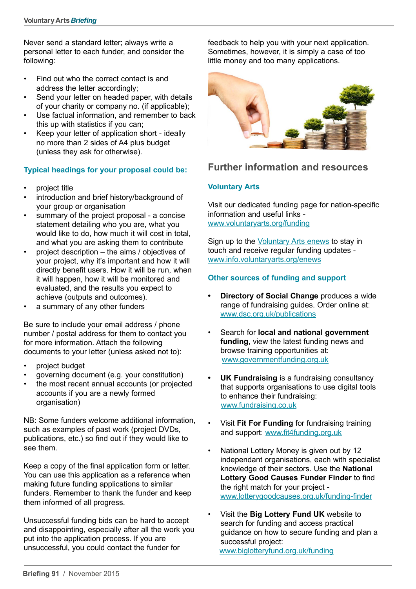Never send a standard letter; always write a personal letter to each funder, and consider the following:

- • Find out who the correct contact is and address the letter accordingly;
- Send your letter on headed paper, with details of your charity or company no. (if applicable);
- Use factual information, and remember to back this up with statistics if you can;
- Keep your letter of application short ideally no more than 2 sides of A4 plus budget (unless they ask for otherwise).

# **Typical headings for your proposal could be:**

- project title
- introduction and brief history/background of your group or organisation
- summary of the project proposal a concise statement detailing who you are, what you would like to do, how much it will cost in total, and what you are asking them to contribute
- project description  $-$  the aims / objectives of your project, why it's important and how it will directly benefit users. How it will be run, when it will happen, how it will be monitored and evaluated, and the results you expect to achieve (outputs and outcomes).
- a summary of any other funders

Be sure to include your email address / phone number / postal address for them to contact you for more information. Attach the following documents to your letter (unless asked not to):

- project budget
- governing document (e.g. your constitution)
- the most recent annual accounts (or projected accounts if you are a newly formed organisation)

NB: Some funders welcome additional information, such as examples of past work (project DVDs, publications, etc.) so find out if they would like to see them.

Keep a copy of the final application form or letter. You can use this application as a reference when making future funding applications to similar funders. Remember to thank the funder and keep them informed of all progress.

Unsuccessful funding bids can be hard to accept and disappointing, especially after all the work you put into the application process. If you are unsuccessful, you could contact the funder for

feedback to help you with your next application. Sometimes, however, it is simply a case of too little money and too many applications.



# **Further information and resources**

# **Voluntary Arts**

Visit our dedicated funding page for nation-specific information and useful links [www.voluntaryarts.org/funding](http://www.voluntaryarts.org/funding)

Sign up to the [Voluntary Arts enews](http://www.info.voluntaryarts.org/enews) to stay in touch and receive regular funding updates www.[info.voluntaryarts.org/enews](http://info.voluntaryarts.org/enews)

# **Other sources of funding and support**

- **• Directory of Social Change** produces a wide range of fundraising guides. Order online at: [www.dsc.org.uk/publications](http://www.dsc.org.uk/publications)
- Search for **local and national government funding**, view the latest funding news and browse training opportunities at: [www.governmentfunding.org.uk](http://www.governmentfunding.org.uk)
- **UK Fundraising** is a fundraising consultancy that supports organisations to use digital tools to enhance their fundraising: [www.fundraising.co.uk](http://www.fundraising.co.uk)
- • Visit **Fit For Funding** for fundraising training and support: [www.fit4funding.org.uk](http://www.fit4funding.org.uk)
- National Lottery Money is given out by 12 independant organisations, each with specialist knowledge of their sectors. Use the **National Lottery Good Causes Funder Finder** to find the right match for your project [www.lotterygoodcauses.org.uk/funding-finder](http://www.lotterygoodcauses.org.uk/funding-finder)
- Visit the **Big Lottery Fund UK** website to search for funding and access practical guidance on how to secure funding and plan a successful project: [www.biglotteryfund.org.uk/funding](http://www.biglotteryfund.org.uk/funding)